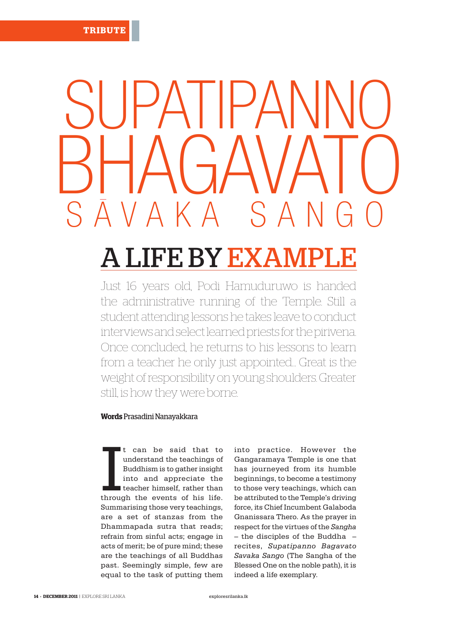## BHAGAVATO SUPATIPANNO A K A

## A LIFE BY EX

Just 16 years old, Podi Hamuduruwo is handed the administrative running of the Temple. Still a student attending lessons he takes leave to conduct interviews and select learned priests for the pirivena. Once concluded, he returns to his lessons to learn from a teacher he only just appointed… Great is the weight of responsibility on young shoulders. Greater still, is how they were borne.

## **Words** Prasadini Nanayakkara

It can be said that to<br>understand the teachings of<br>Buddhism is to gather insight<br>into and appreciate the<br>teacher himself, rather than<br>through the events of his life. can be said that to understand the teachings of Buddhism is to gather insight into and appreciate the teacher himself, rather than Summarising those very teachings, are a set of stanzas from the Dhammapada sutra that reads; refrain from sinful acts; engage in acts of merit; be of pure mind; these are the teachings of all Buddhas past. Seemingly simple, few are equal to the task of putting them

into practice. However the Gangaramaya Temple is one that has journeyed from its humble beginnings, to become a testimony to those very teachings, which can be attributed to the Temple's driving force, its Chief Incumbent Galaboda Gnanissara Thero. As the prayer in respect for the virtues of the *Sangha* – the disciples of the Buddha – recites, *Supatipanno Bagavato Savaka Sango* (The Sangha of the Blessed One on the noble path), it is indeed a life exemplary.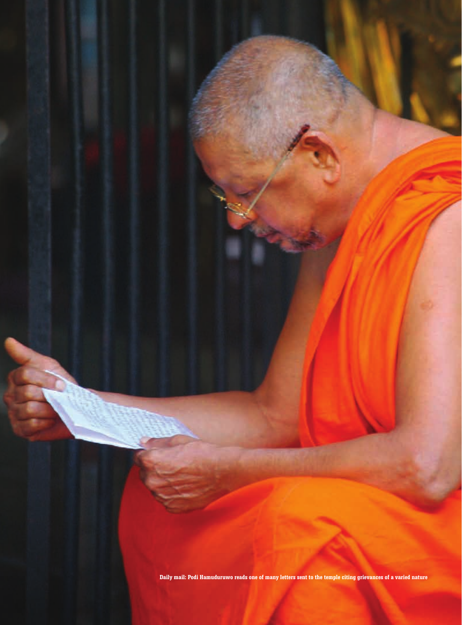**Daily mail: Podi Hamuduruwo reads one of many letters sent to the temple citing grievances of a varied nature**

exploresrilanka.lk EXPLORE SRI LANKA | **DECEMBER 2011 • 15**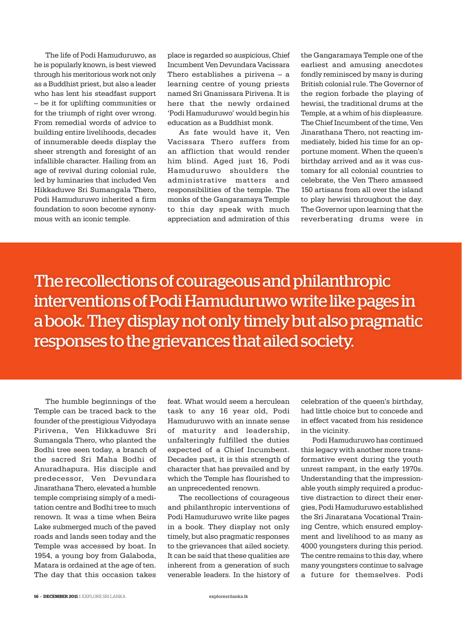The life of Podi Hamuduruwo, as he is popularly known, is best viewed through his meritorious work not only as a Buddhist priest, but also a leader who has lent his steadfast support – be it for uplifting communities or for the triumph of right over wrong. From remedial words of advice to building entire livelihoods, decades of innumerable deeds display the sheer strength and foresight of an infallible character. Hailing from an age of revival during colonial rule, led by luminaries that included Ven Hikkaduwe Sri Sumangala Thero, Podi Hamuduruwo inherited a firm foundation to soon become synonymous with an iconic temple.

place is regarded so auspicious, Chief Incumbent Ven Devundara Vacissara Thero establishes a pirivena – a learning centre of young priests named Sri Gnanissara Pirivena. It is here that the newly ordained 'Podi Hamuduruwo' would begin his education as a Buddhist monk.

As fate would have it, Ven Vacissara Thero suffers from an affliction that would render him blind. Aged just 16, Podi Hamuduruwo shoulders the administrative matters and responsibilities of the temple. The monks of the Gangaramaya Temple to this day speak with much appreciation and admiration of this

the Gangaramaya Temple one of the earliest and amusing anecdotes fondly reminisced by many is during British colonial rule. The Governor of the region forbade the playing of hewisi, the traditional drums at the Temple, at a whim of his displeasure. The Chief Incumbent of the time, Ven Jinarathana Thero, not reacting immediately, bided his time for an opportune moment. When the queen's birthday arrived and as it was customary for all colonial countries to celebrate, the Ven Thero amassed 150 artisans from all over the island to play hewisi throughout the day. The Governor upon learning that the reverberating drums were in

The recollections of courageous and philanthropic interventions of Podi Hamuduruwo write like pages in a book. They display not only timely but also pragmatic responses to the grievances that ailed society.

The humble beginnings of the Temple can be traced back to the founder of the prestigious Vidyodaya Pirivena, Ven Hikkaduwe Sri Sumangala Thero, who planted the Bodhi tree seen today, a branch of the sacred Sri Maha Bodhi of Anuradhapura. His disciple and predecessor, Ven Devundara Jinarathana Thero, elevated a humble temple comprising simply of a meditation centre and Bodhi tree to much renown. It was a time when Beira Lake submerged much of the paved roads and lands seen today and the Temple was accessed by boat. In 1954, a young boy from Galaboda, Matara is ordained at the age of ten. The day that this occasion takes feat. What would seem a herculean task to any 16 year old, Podi Hamuduruwo with an innate sense of maturity and leadership, unfalteringly fulfilled the duties expected of a Chief Incumbent. Decades past, it is this strength of character that has prevailed and by which the Temple has flourished to an unprecedented renown.

The recollections of courageous and philanthropic interventions of Podi Hamuduruwo write like pages in a book. They display not only timely, but also pragmatic responses to the grievances that ailed society. It can be said that these qualities are inherent from a generation of such venerable leaders. In the history of

celebration of the queen's birthday, had little choice but to concede and in effect vacated from his residence in the vicinity.

Podi Hamuduruwo has continued this legacy with another more transformative event during the youth unrest rampant, in the early 1970s. Understanding that the impressionable youth simply required a productive distraction to direct their energies, Podi Hamuduruwo established the Sri Jinaratana Vocational Training Centre, which ensured employment and livelihood to as many as 4000 youngsters during this period. The centre remains to this day, where many youngsters continue to salvage a future for themselves. Podi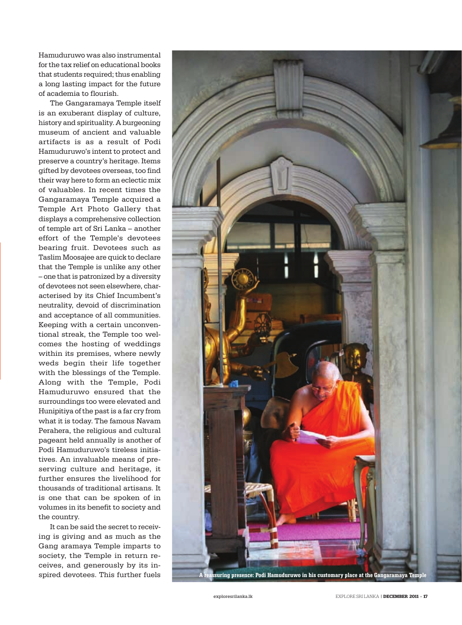Hamuduruwo was also instrumental for the tax relief on educational books that students required; thus enabling a long lasting impact for the future of academia to flourish.

The Gangaramaya Temple itself is an exuberant display of culture, history and spirituality. A burgeoning museum of ancient and valuable artifacts is as a result of Podi Hamuduruwo's intent to protect and preserve a country's heritage. Items gifted by devotees overseas, too find their way here to form an eclectic mix of valuables. In recent times the Gangaramaya Temple acquired a Temple Art Photo Gallery that displays a comprehensive collection of temple art of Sri Lanka – another effort of the Temple's devotees bearing fruit. Devotees such as Taslim Moosajee are quick to declare that the Temple is unlike any other – one that is patronized by a diversity of devotees not seen elsewhere, characterised by its Chief Incumbent's neutrality, devoid of discrimination and acceptance of all communities. Keeping with a certain unconventional streak, the Temple too welcomes the hosting of weddings within its premises, where newly weds begin their life together with the blessings of the Temple. Along with the Temple, Podi Hamuduruwo ensured that the surroundings too were elevated and Hunipitiya of the past is a far cry from what it is today. The famous Navam Perahera, the religious and cultural pageant held annually is another of Podi Hamuduruwo's tireless initiatives. An invaluable means of preserving culture and heritage, it further ensures the livelihood for thousands of traditional artisans. It is one that can be spoken of in volumes in its benefit to society and the country.

It can be said the secret to receiving is giving and as much as the Gang aramaya Temple imparts to society, the Temple in return receives, and generously by its in-